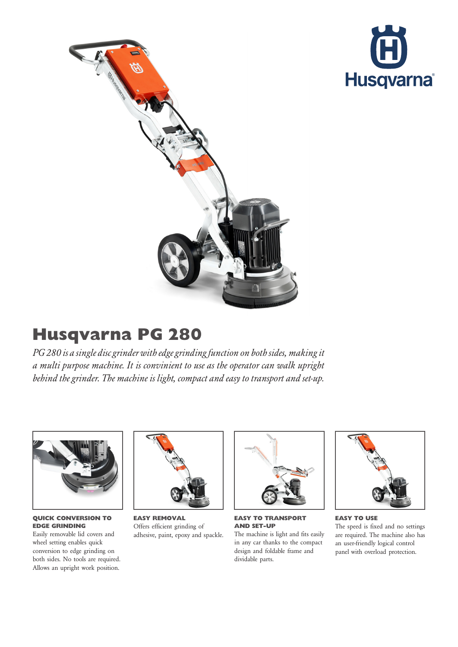



## Husqvarna PG 280

PG 280 is a single disc grinder with edge grinding function on both sides, making it a multi purpose machine. It is convinient to use as the operator can walk upright behind the grinder. The machine is light, compact and easy to transport and set-up.



QUICK CONVERSION TO EDGE GRINDING

Easily removable lid covers and wheel setting enables quick conversion to edge grinding on both sides. No tools are required. Allows an upright work position.



EASY REMOVAL Offers efficient grinding of adhesive, paint, epoxy and spackle.



EASY TO TRANSPORT AND SET-UP

The machine is light and fits easily in any car thanks to the compact design and foldable frame and dividable parts.



EASY TO USE The speed is fixed and no settings are required. The machine also has an user-friendly logical control panel with overload protection.